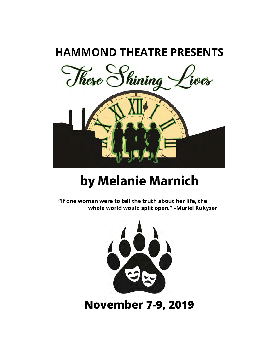### **HAMMOND THEATRE PRESENTS**



## by Melanie Marnich

**"If one woman were to tell the truth about her life, the whole world would split open." –Muriel Rukyser**



**November 7-9, 2019**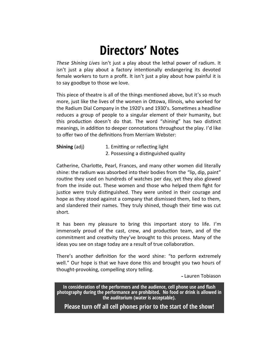## **Directors' Notes**

*These Shining Lives* isn't just a play about the lethal power of radium. It isn't just a play about a factory intentionally endangering its devoted female workers to turn a profit. It isn't just a play about how painful it is to say goodbye to those we love.

This piece of theatre is all of the things mentioned above, but it's so much more, just like the lives of the women in Ottowa, Illinois, who worked for the Radium Dial Company in the 1920's and 1930's. Sometimes a headline reduces a group of people to a singular element of their humanity, but this production doesn't do that. The word "shining" has two distinct meanings, in addition to deeper connotations throughout the play. I'd like to offer two of the definitions from Merriam Webster:

**Shining** (adj) 1. Emitting or reflecting light 2. Possessing a distinguished quality

Catherine, Charlotte, Pearl, Frances, and many other women did literally shine: the radium was absorbed into their bodies from the "lip, dip, paint" routine they used on hundreds of watches per day, yet they also glowed from the inside out. These women and those who helped them fight for justice were truly distinguished. They were united in their courage and hope as they stood against a company that dismissed them, lied to them, and slandered their names. They truly shined, though their time was cut short.

It has been my pleasure to bring this important story to life. I'm immensely proud of the cast, crew, and production team, and of the commitment and creativity they've brought to this process. Many of the ideas you see on stage today are a result of true collaboration.

There's another definition for the word shine: "to perform extremely well." Our hope is that we have done this and brought you two hours of thought-provoking, compelling story telling.

Lauren Tobiason

**In consideration of the performers and the audience, cell phone use and flash photography during the performance are prohibited. No food or drink is allowed in the auditorium (water is acceptable).**

**Please turn off all cell phones prior to the start of the show!**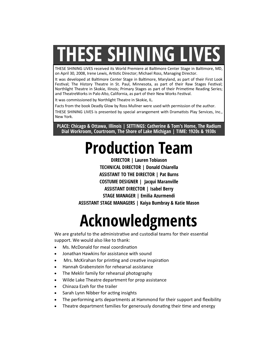# **THESE SHINING LIVES**

THESE SHINING LIVES received its World Premiere at Baltimore Center Stage in Baltimore, MD, on April 30, 2008, Irene Lewis, Artistic Director; Michael Ross, Managing Director.

It was developed at Baltimore Center Stage in Baltimore, Maryland, as part of their First Look Festival; The History Theatre in St. Paul, Minnesota, as part of their Raw Stages Festival; Northlight Theatre in Skokie, Ilinois; Primary Stages as part of their Primetime Reading Series; and TheatreWorks in Palo Alto, California, as part of their New Works Festival.

It was commissioned by Northlight Theatre in Skokie, IL.

Facts from the book Deadly Glow by Ross Mullner were used with permission of the author.

THESE SHINING LIVES is presented by special arrangement with Dramatists Play Services, Inc., New York.

**PLACE: Chicago & Ottawa, Illinois | SETTINGS: Catherine & Tom's Home, The Radium Dial Workroom, Courtroom, The Shore of Lake Michigan | TIME: 1920s & 1930s**

# **Production Team**

**DIRECTOR | Lauren Tobiason TECHNICAL DIRECTOR | Donald Chiarella ASSISTANT TO THE DIRECTOR | Pat Burns COSTUME DESIGNER | Jacqui Maranville ASSISTANT DIRECTOR | Isabel Berry STAGE MANAGER | Emilia Azurmendi ASSISTANT STAGE MANAGERS | Kaiya Bumbray & Katie Mason**

# **Acknowledgments**

We are grateful to the administrative and custodial teams for their essential support. We would also like to thank:

- Ms. McDonald for meal coordination
- Jonathan Hawkins for assistance with sound
- Mrs. McKirahan for printing and creative inspiration
- Hannah Grabenstein for rehearsal assistance
- The Meklir family for rehearsal photography
- Wilde Lake Theatre department for prop assistance
- Chinaza Ezeh for the trailer
- Sarah Lynn Nibber for acting insights
- The performing arts departments at Hammond for their support and flexibility
- Theatre department families for generously donating their time and energy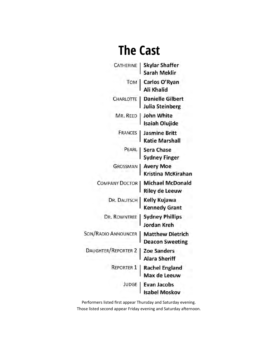## **The Cast**

| <b>CATHERINE</b>           | <b>Skylar Shaffer</b><br>Sarah Meklir             |
|----------------------------|---------------------------------------------------|
| TOM                        | Carlos O'Ryan<br>Ali Khalid                       |
| CHARLOTTE                  | <b>Danielle Gilbert</b><br>Julia Steinberg        |
| MR. REED                   | John White<br>Isaiah Olujide                      |
| <b>FRANCES</b>             | Jasmine Britt<br><b>Katie Marshall</b>            |
| PEARL                      | <b>Sera Chase</b><br><b>Sydney Finger</b>         |
| <b>GROSSMAN</b>            | <b>Avery Moe</b><br><b>Kristina McKirahan</b>     |
| <b>COMPANY DOCTOR</b>      | <b>Michael McDonald</b><br><b>Riley de Leeuw</b>  |
| DR. DALITSCH               | Kelly Kujawa<br><b>Kennedy Grant</b>              |
| <b>DR. ROWNTREE</b>        | <b>Sydney Phillips</b><br><b>Jordan Kreh</b>      |
| <b>SON/RADIO ANNOUNCER</b> | <b>Matthew Dietrich</b><br><b>Deacon Sweeting</b> |
| <b>DAUGHTER/REPORTER 2</b> | <b>Zoe Sanders</b><br><b>Alara Sheriff</b>        |
| <b>REPORTER 1</b>          | <b>Rachel England</b><br>Max de Leeuw             |
| JUDGE                      | Evan Jacobs<br><b>Isabel Moskov</b>               |

Performers listed first appear Thursday and Saturday evening. Those listed second appear Friday evening and Saturday afternoon.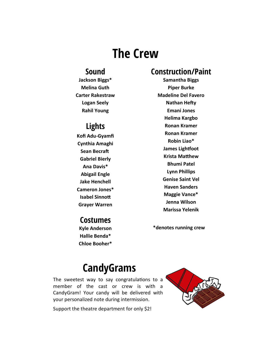### **The Crew**

#### **Sound**

**Jackson Biggs\* Melina Guth Carter Rakestraw Logan Seely Rahil Young**

#### **Lights**

**Kofi Adu-Gyamfi Cynthia Amaghi Sean Becraft Gabriel Bierly Ana Davis\* Abigail Engle Jake Henchell Cameron Jones\* Isabel Sinnott Grayer Warren** 

#### **Costumes**

**Kyle Anderson Hallie Benda\* Chloe Booher\***

#### **Construction/Paint**

**Samantha Biggs Piper Burke Madeline Del Favero Nathan Hefty Emani Jones Helima Kargbo Ronan Kramer Ronan Kramer Robin Liao\* James Lightfoot Krista Matthew Bhumi Patel Lynn Phillips Genise Saint Vel Haven Sanders Maggie Vance\* Jenna Wilson Marissa Yelenik** 

**\*denotes running crew**

### **CandyGrams**

The sweetest way to say congratulations to a member of the cast or crew is with a CandyGram! Your candy will be delivered with your personalized note during intermission.

Support the theatre department for only \$2!

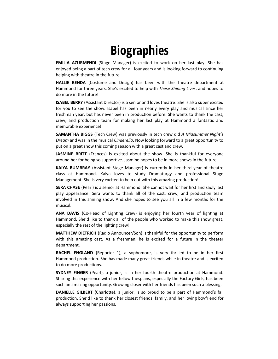## **Biographies**

**EMILIA AZURMENDI** (Stage Manager) is excited to work on her last play. She has enjoyed being a part of tech crew for all four years and is looking forward to continuing helping with theatre in the future.

**HALLIE BENDA** (Costume and Design) has been with the Theatre department at Hammond for three years. She's excited to help with *These Shining Lives*, and hopes to do more in the future!

**ISABEL BERRY** (Assistant Director) is a senior and loves theatre! She is also super excited for you to see the show. Isabel has been in nearly every play and musical since her freshman year, but has never been in production before. She wants to thank the cast, crew, and production team for making her last play at Hammond a fantastic and memorable experience!

**SAMANTHA BIGGS** (Tech Crew) was previously in tech crew did *A Midsummer Night's Dream* and was in the musical *Cinderella*. Now looking forward to a great opportunity to put on a great show this coming season with a great cast and crew.

**JASMINE BRITT** (Frances) is excited about the show. She is thankful for everyone around her for being so supportive. Jasmine hopes to be in more shows in the future.

**KAIYA BUMBRAY** (Assistant Stage Manager) is currently in her third year of theatre class at Hammond. Kaiya loves to study Dramaturgy and professional Stage Management. She is very excited to help out with this amazing production!

**SERA CHASE** (Pearl) is a senior at Hammond. She cannot wait for her first and sadly last play appearance. Sera wants to thank all of the cast, crew, and production team involved in this shining show. And she hopes to see you all in a few months for the musical.

**ANA DAVIS** (Co-Head of Lighting Crew) is enjoying her fourth year of lighting at Hammond. She'd like to thank all of the people who worked to make this show great, especially the rest of the lighting crew!

**MATTHEW DIETRICH** (Radio Announcer/Son) is thankful for the opportunity to perform with this amazing cast. As a freshman, he is excited for a future in the theater department.

**RACHEL ENGLAND** (Reporter 1), a sophomore, is very thrilled to be in her first Hammond production. She has made many great friends while in theatre and is excited to do more productions.

**SYDNEY FINGER** (Pearl), a junior, is in her fourth theatre production at Hammond. Sharing this experience with her fellow thespians, especially the Factory Girls, has been such an amazing opportunity. Growing closer with her friends has been such a blessing.

**DANIELLE GILBERT** (Charlotte), a junior, is so proud to be a part of Hammond's fall production. She'd like to thank her closest friends, family, and her loving boyfriend for always supporting her passions.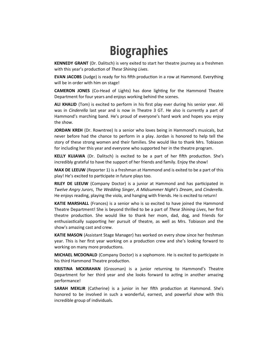## **Biographies**

**KENNEDY GRANT** (Dr. Dalitsch) is very exited to start her theatre journey as a freshmen with this year's production of *These Shining Lives*.

**EVAN JACOBS** (Judge) is ready for his fifth production in a row at Hammond. Everything will be in order with him on stage!

**CAMERON JONES** (Co-Head of Lights) has done lighting for the Hammond Theatre Department for four years and enjoys working behind the scenes.

**ALI KHALID** (Tom) is excited to perform in his first play ever during his senior year. Ali was in *Cinderella* last year and is now in Theatre 3 GT. He also is currently a part of Hammond's marching band. He's proud of everyone's hard work and hopes you enjoy the show.

**JORDAN KREH** (Dr. Rowntree) Is a senior who loves being in Hammond's musicals, but never before had the chance to perform in a play. Jordan is honored to help tell the story of these strong women and their families. She would like to thank Mrs. Tobiason for including her this year and everyone who supported her in the theatre program.

**KELLY KUJAWA** (Dr. Dalitsch) is excited to be a part of her fifth production. She's incredibly grateful to have the support of her friends and family. Enjoy the show!

**MAX DE LEEUW** (Reporter 1) is a freshman at Hammond and is exited to be a part of this play! He's excited to participate in future plays too.

**RILEY DE LEEUW** (Company Doctor) is a junior at Hammond and has participated in *Twelve Angry Jurors*, *The Wedding Singer*, *A Midsummer Night's Dream*, and *Cinderella*. He enjoys reading, playing the viola, and hanging with friends. He is excited to return!

**KATIE MARSHALL** (Frances) is a senior who is so excited to have joined the Hammond Theatre Department! She is beyond thrilled to be a part of *These Shining Lives*, her first theatre production. She would like to thank her mom, dad, dog, and friends for enthusiastically supporting her pursuit of theatre, as well as Mrs. Tobiason and the show's amazing cast and crew.

**KATIE MASON** (Assistant Stage Manager) has worked on every show since her freshman year. This is her first year working on a production crew and she's looking forward to working on many more productions.

**MICHAEL MCDONALD** (Company Doctor) is a sophomore. He is excited to participate in his third Hammond Theatre production.

**KRISTINA MCKIRAHAN** (Grossman) is a junior returning to Hammond's Theatre Department for her third year and she looks forward to acting in another amazing performance!

**SARAH MEKLIR** (Catherine) is a junior in her fifth production at Hammond. She's honored to be involved in such a wonderful, earnest, and powerful show with this incredible group of individuals.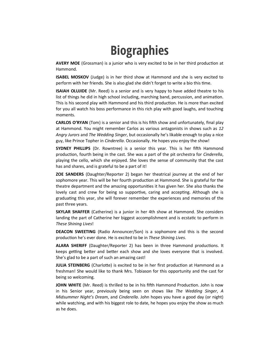## **Biographies**

**AVERY MOE** (Grossman) is a junior who is very excited to be in her third production at Hammond.

**ISABEL MOSKOV** (Judge) is in her third show at Hammond and she is very excited to perform with her friends. She is also glad she didn't forget to write a bio this time.

**ISAIAH OLUJIDE** (Mr. Reed) is a senior and is very happy to have added theatre to his list of things he did in high school including, marching band, percussion, and animation. This is his second play with Hammond and his third production. He is more than excited for you all watch his boss performance in this rich play with good laughs, and touching moments.

**CARLOS O'RYAN** (Tom) is a senior and this is his fifth show and unfortunately, final play at Hammond. You might remember Carlos as various antagonists in shows such as *12 Angry Jurors* and *The Wedding Singer*, but occasionally he's likable enough to play a nice guy, like Prince Topher in *Cinderella*. Occasionally. He hopes you enjoy the show!

**SYDNEY PHILLIPS** (Dr. Rowntree) is a senior this year. This is her fifth Hammond production, fourth being in the cast. She was a part of the pit orchestra for *Cinderella*, playing the cello, which she enjoyed. She loves the sense of community that the cast has and shares, and is grateful to be a part of it!

**ZOE SANDERS** (Daughter/Reporter 2) began her theatrical journey at the end of her sophomore year. This will be her fourth production at Hammond. She is grateful for the theatre department and the amazing opportunities it has given her. She also thanks the lovely cast and crew for being so supportive, caring and accepting. Although she is graduating this year, she will forever remember the experiences and memories of the past three years.

**SKYLAR SHAFFER** (Catherine) is a junior in her 4th show at Hammond. She considers landing the part of Catherine her biggest accomplishment and is ecstatic to perform in *These Shining Lives*!

**DEACON SWEETING** (Radio Announcer/Son) is a sophomore and this is the second production he's ever done. He is excited to be in *These Shining Lives*.

**ALARA SHERIFF** (Daughter/Reporter 2) has been in three Hammond productions. It keeps getting better and better each show and she loves everyone that is involved. She's glad to be a part of such an amazing cast!

**JULIA STEINBERG** (Charlotte) is excited to be in her first production at Hammond as a freshman! She would like to thank Mrs. Tobiason for this opportunity and the cast for being so welcoming.

**JOHN WHITE** (Mr. Reed) is thrilled to be in his fifth Hammond Production. John is now in his Senior year, previously being seen on shows like *The Wedding Singer*, *A Midsummer Night's Dream*, and *Cinderella*. John hopes you have a good day (or night) while watching, and with his biggest role to date, he hopes you enjoy the show as much as he does.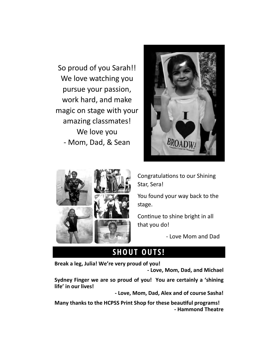So proud of you Sarah!! We love watching you pursue your passion, work hard, and make magic on stage with your amazing classmates! We love you - Mom, Dad, & Sean





Congratulations to our Shining Star, Sera!

You found your way back to the stage.

Continue to shine bright in all that you do!

- Love Mom and Dad

#### **SHOUT OUTS!**

**Break a leg, Julia! We're very proud of you!** 

**- Love, Mom, Dad, and Michael**

**Sydney Finger we are so proud of you! You are certainly a 'shining life' in our lives!** 

**- Love, Mom, Dad, Alex and of course Sasha!**

**Many thanks to the HCPSS Print Shop for these beautiful programs! - Hammond Theatre**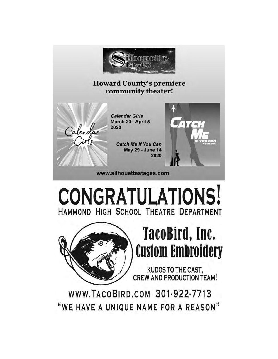

#### **Howard County's premiere** community theater!



**Calendar Girls** March 20 - April 5 2020

> **Catch Me If You Can May 29 - June 14** 2020



www.silhouettestages.com

# **CONGRATULATIONS!** HAMMOND HIGH SCHOOL THEATRE DEPARTMENT



# TacoBird, Inc. **Custom Embroidery**

KUDOS TO THE CAST, **CREW AND PRODUCTION TEAM!** 

WWW.TACOBIRD.COM 301-922-7713 "WE HAVE A UNIQUE NAME FOR A REASON"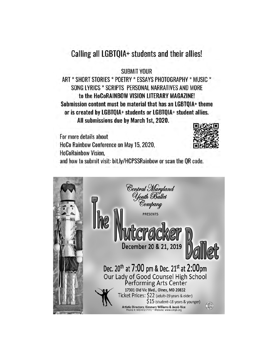#### Calling all LGBTQIA+ students and their allies!

**SUBMIT YOUR** 

ART \* SHORT STORIES \* POETRY \* ESSAYS PHOTOGRAPHY \* MUSIC \* SONG LYRICS \* SCRIPTS PERSONAL NARRATIVES AND MORE to the HoCoRAINBOW VISION LITERARY MAGAZINE! Submission content must be material that has an LGBTQIA+ theme or is created by LGBTQIA+ students or LGBTQIA+ student allies. All submissions due by March 1st, 2020.

For more details about HoCo Rainbow Conference on May 15, 2020, **HoCoRainbow Vision,** and how to submit visit: bit.ly/HCPSSRainbow or scan the QR code.